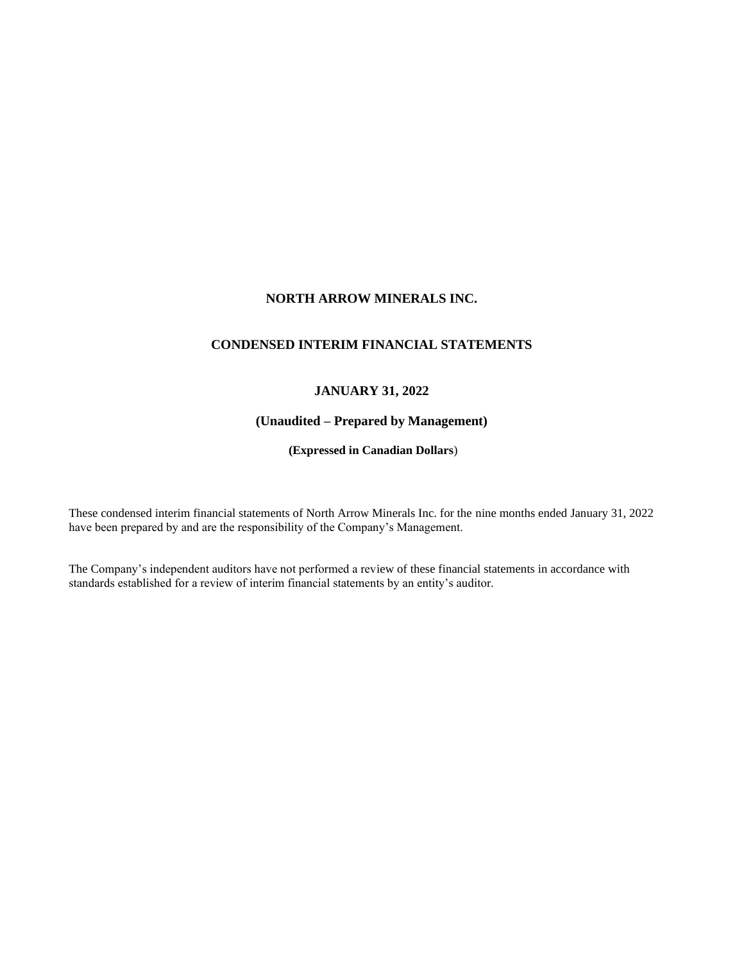# **NORTH ARROW MINERALS INC.**

# **CONDENSED INTERIM FINANCIAL STATEMENTS**

# **JANUARY 31, 2022**

# **(Unaudited – Prepared by Management)**

**(Expressed in Canadian Dollars**)

These condensed interim financial statements of North Arrow Minerals Inc. for the nine months ended January 31, 2022 have been prepared by and are the responsibility of the Company's Management.

The Company's independent auditors have not performed a review of these financial statements in accordance with standards established for a review of interim financial statements by an entity's auditor.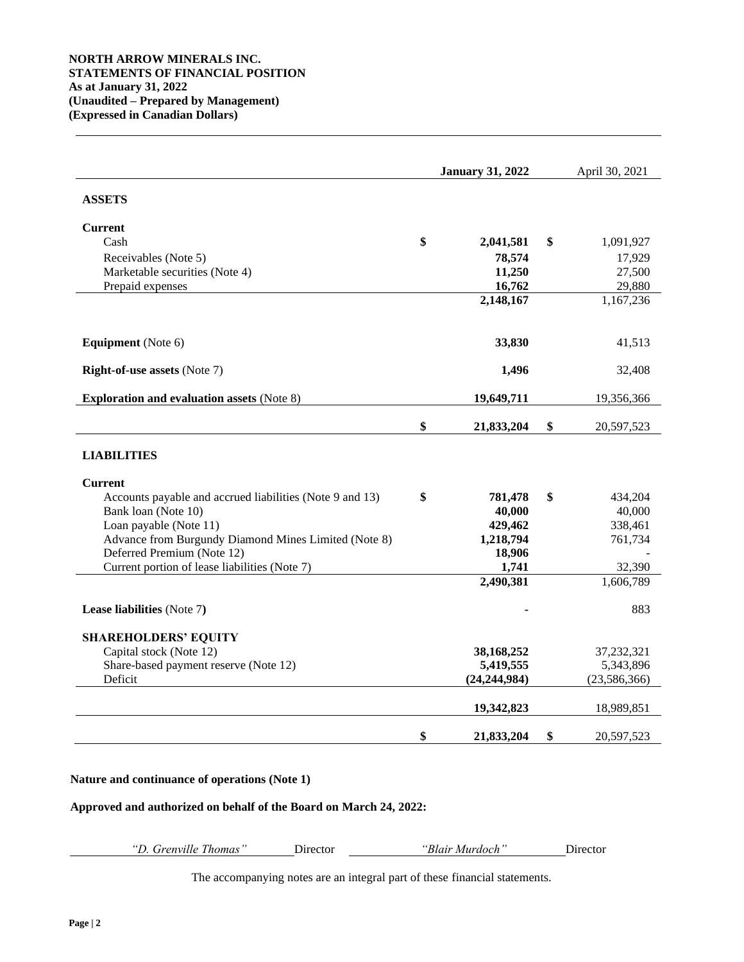|                                                                             | <b>January 31, 2022</b> |                 | April 30, 2021 |                |
|-----------------------------------------------------------------------------|-------------------------|-----------------|----------------|----------------|
| <b>ASSETS</b>                                                               |                         |                 |                |                |
| <b>Current</b>                                                              |                         |                 |                |                |
| Cash                                                                        | \$                      | 2,041,581       | \$             | 1,091,927      |
| Receivables (Note 5)                                                        |                         | 78,574          |                | 17,929         |
| Marketable securities (Note 4)                                              |                         | 11,250          |                | 27,500         |
| Prepaid expenses                                                            |                         | 16,762          |                | 29,880         |
|                                                                             |                         | 2,148,167       |                | 1,167,236      |
| <b>Equipment</b> (Note 6)                                                   |                         | 33,830          |                | 41,513         |
| <b>Right-of-use assets (Note 7)</b>                                         |                         | 1,496           |                | 32,408         |
| <b>Exploration and evaluation assets (Note 8)</b>                           |                         | 19,649,711      |                | 19,356,366     |
|                                                                             | \$                      | 21,833,204      | \$             | 20,597,523     |
| <b>LIABILITIES</b>                                                          |                         |                 |                |                |
| <b>Current</b>                                                              |                         |                 |                |                |
| Accounts payable and accrued liabilities (Note 9 and 13)                    | \$                      | 781,478         | \$             | 434,204        |
| Bank loan (Note 10)                                                         |                         | 40,000          |                | 40,000         |
| Loan payable (Note 11)                                                      |                         | 429,462         |                | 338,461        |
| Advance from Burgundy Diamond Mines Limited (Note 8)                        |                         | 1,218,794       |                | 761,734        |
| Deferred Premium (Note 12)<br>Current portion of lease liabilities (Note 7) |                         | 18,906<br>1,741 |                | 32,390         |
|                                                                             |                         | 2,490,381       |                | 1,606,789      |
| Lease liabilities (Note 7)                                                  |                         |                 |                | 883            |
|                                                                             |                         |                 |                |                |
| <b>SHAREHOLDERS' EQUITY</b>                                                 |                         |                 |                |                |
| Capital stock (Note 12)                                                     |                         | 38,168,252      |                | 37, 232, 321   |
| Share-based payment reserve (Note 12)                                       |                         | 5,419,555       |                | 5,343,896      |
| Deficit                                                                     |                         | (24, 244, 984)  |                | (23, 586, 366) |
|                                                                             |                         | 19,342,823      |                | 18,989,851     |
|                                                                             | \$                      | 21,833,204      | \$             | 20,597,523     |

## **Nature and continuance of operations (Note 1)**

## **Approved and authorized on behalf of the Board on March 24, 2022:**

*"D. Grenville Thomas"* Director *"Blair Murdoch"* Director

The accompanying notes are an integral part of these financial statements.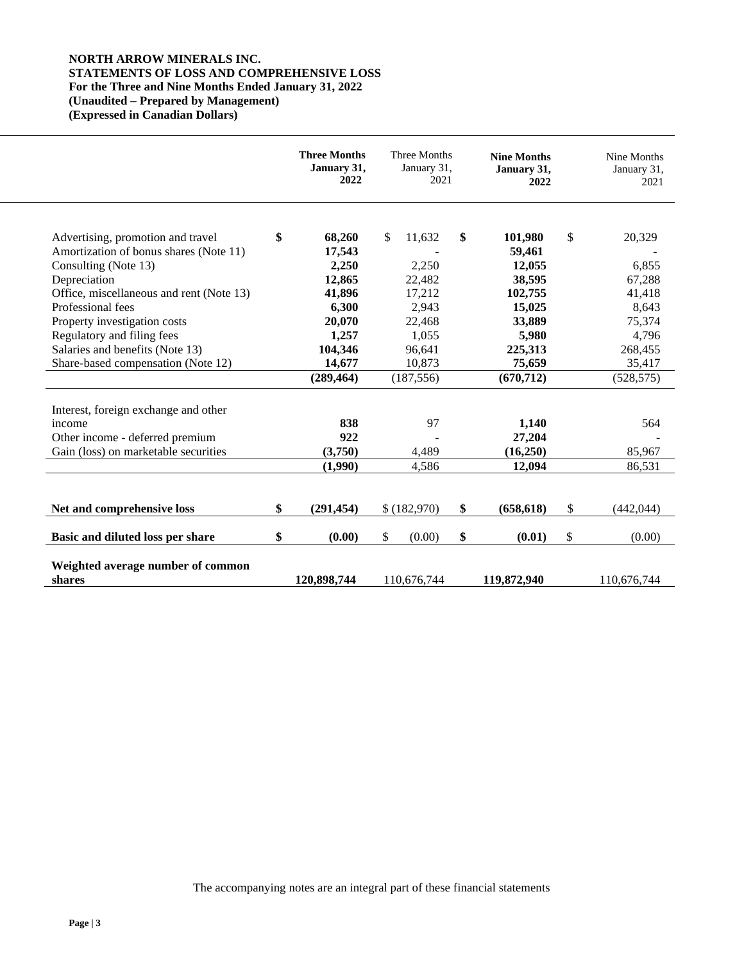# **NORTH ARROW MINERALS INC. STATEMENTS OF LOSS AND COMPREHENSIVE LOSS For the Three and Nine Months Ended January 31, 2022 (Unaudited – Prepared by Management) (Expressed in Canadian Dollars)**

|                                          | <b>Three Months</b><br>January 31,<br>2022 | Three Months<br>January 31,<br>2021 | <b>Nine Months</b><br>January 31,<br>2022 |              | Nine Months<br>January 31,<br>2021 |
|------------------------------------------|--------------------------------------------|-------------------------------------|-------------------------------------------|--------------|------------------------------------|
| Advertising, promotion and travel        | \$<br>68,260                               | \$<br>11,632                        | \$<br>101,980                             | $\mathbb{S}$ | 20,329                             |
| Amortization of bonus shares (Note 11)   | 17,543                                     |                                     | 59,461                                    |              |                                    |
| Consulting (Note 13)                     | 2,250                                      | 2,250                               | 12,055                                    |              | 6,855                              |
| Depreciation                             | 12,865                                     | 22,482                              | 38,595                                    |              | 67,288                             |
| Office, miscellaneous and rent (Note 13) | 41,896                                     | 17,212                              | 102,755                                   |              | 41,418                             |
| Professional fees                        | 6,300                                      | 2,943                               | 15,025                                    |              | 8,643                              |
| Property investigation costs             | 20,070                                     | 22,468                              | 33,889                                    |              | 75,374                             |
| Regulatory and filing fees               | 1,257                                      | 1,055                               | 5,980                                     |              | 4,796                              |
| Salaries and benefits (Note 13)          | 104,346                                    | 96,641                              | 225,313                                   |              | 268,455                            |
| Share-based compensation (Note 12)       | 14,677                                     | 10,873                              | 75,659                                    |              | 35,417                             |
|                                          | (289, 464)                                 | (187, 556)                          | (670, 712)                                |              | (528, 575)                         |
| Interest, foreign exchange and other     |                                            |                                     |                                           |              |                                    |
| income                                   | 838                                        | 97                                  | 1,140                                     |              | 564                                |
| Other income - deferred premium          | 922                                        |                                     | 27,204                                    |              |                                    |
| Gain (loss) on marketable securities     | (3,750)                                    | 4,489                               | (16,250)                                  |              | 85,967                             |
|                                          | (1,990)                                    | 4,586                               | 12,094                                    |              | 86,531                             |
|                                          |                                            |                                     |                                           |              |                                    |
| Net and comprehensive loss               | \$<br>(291, 454)                           | \$(182,970)                         | \$<br>(658, 618)                          | \$           | (442, 044)                         |
| Basic and diluted loss per share         | \$<br>(0.00)                               | \$<br>(0.00)                        | \$<br>(0.01)                              | \$           | (0.00)                             |
| Weighted average number of common        |                                            |                                     |                                           |              |                                    |
| shares                                   | 120,898,744                                | 110,676,744                         | 119,872,940                               |              | 110,676,744                        |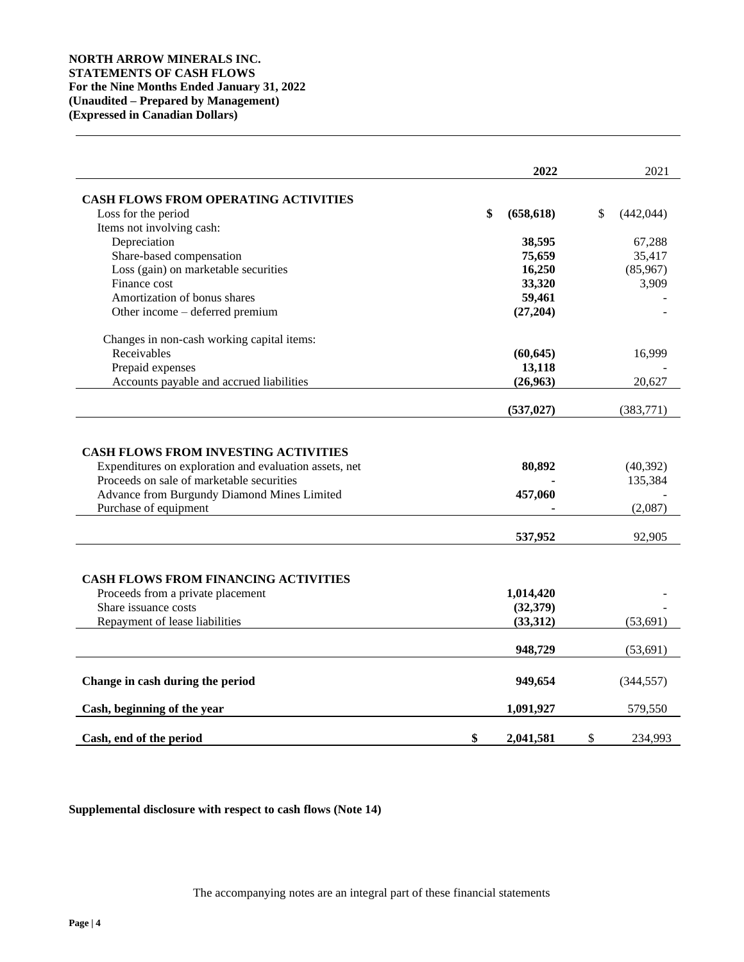# **NORTH ARROW MINERALS INC. STATEMENTS OF CASH FLOWS For the Nine Months Ended January 31, 2022 (Unaudited – Prepared by Management) (Expressed in Canadian Dollars)**

|                                                                                                                   | 2022             | 2021               |
|-------------------------------------------------------------------------------------------------------------------|------------------|--------------------|
| <b>CASH FLOWS FROM OPERATING ACTIVITIES</b>                                                                       |                  |                    |
| Loss for the period                                                                                               | \$<br>(658, 618) | \$<br>(442, 044)   |
| Items not involving cash:                                                                                         |                  |                    |
| Depreciation                                                                                                      | 38,595           | 67,288             |
| Share-based compensation                                                                                          | 75,659           | 35,417             |
| Loss (gain) on marketable securities                                                                              | 16,250           | (85,967)           |
| Finance cost                                                                                                      | 33,320           | 3,909              |
| Amortization of bonus shares                                                                                      | 59,461           |                    |
| Other income - deferred premium                                                                                   | (27, 204)        |                    |
| Changes in non-cash working capital items:                                                                        |                  |                    |
| Receivables                                                                                                       | (60, 645)        | 16,999             |
| Prepaid expenses                                                                                                  | 13,118           |                    |
| Accounts payable and accrued liabilities                                                                          | (26,963)         | 20,627             |
|                                                                                                                   | (537, 027)       | (383,771)          |
| Proceeds on sale of marketable securities<br>Advance from Burgundy Diamond Mines Limited<br>Purchase of equipment | 457,060          | 135,384<br>(2,087) |
|                                                                                                                   | 537,952          | 92,905             |
| <b>CASH FLOWS FROM FINANCING ACTIVITIES</b>                                                                       |                  |                    |
| Proceeds from a private placement                                                                                 | 1,014,420        |                    |
| Share issuance costs                                                                                              | (32, 379)        |                    |
| Repayment of lease liabilities                                                                                    | (33,312)         | (53, 691)          |
|                                                                                                                   | 948,729          | (53, 691)          |
| Change in cash during the period                                                                                  | 949,654          | (344, 557)         |
| Cash, beginning of the year                                                                                       | 1,091,927        | 579,550            |
| Cash, end of the period                                                                                           | \$<br>2,041,581  | \$<br>234,993      |

# **Supplemental disclosure with respect to cash flows (Note 14)**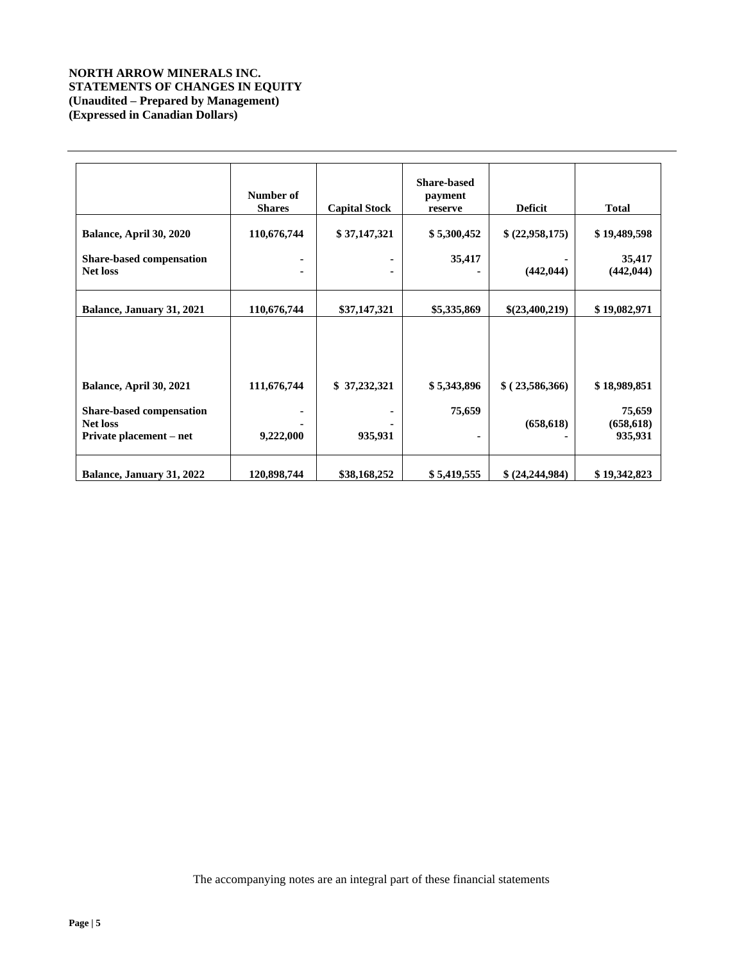# **NORTH ARROW MINERALS INC. STATEMENTS OF CHANGES IN EQUITY (Unaudited – Prepared by Management) (Expressed in Canadian Dollars)**

|                                                                               | Number of<br><b>Shares</b> | <b>Capital Stock</b> | <b>Share-based</b><br>payment<br>reserve | <b>Deficit</b>    | <b>Total</b>                    |
|-------------------------------------------------------------------------------|----------------------------|----------------------|------------------------------------------|-------------------|---------------------------------|
| Balance, April 30, 2020                                                       | 110,676,744                | \$37,147,321         | \$5,300,452                              | \$ (22,958,175)   | \$19,489,598                    |
| <b>Share-based compensation</b><br><b>Net loss</b>                            |                            | ٠<br>٠               | 35,417                                   | (442, 044)        | 35,417<br>(442, 044)            |
| Balance, January 31, 2021                                                     | 110,676,744                | \$37,147,321         | \$5,335,869                              | \$(23,400,219)    | \$19,082,971                    |
| Balance, April 30, 2021                                                       | 111,676,744                | \$37,232,321         | \$5,343,896                              | \$(23,586,366)    | \$18,989,851                    |
| <b>Share-based compensation</b><br><b>Net loss</b><br>Private placement – net | 9,222,000                  | 935,931              | 75,659                                   | (658, 618)        | 75,659<br>(658, 618)<br>935,931 |
| Balance, January 31, 2022                                                     | 120,898,744                | \$38,168,252         | \$5,419,555                              | \$ (24, 244, 984) | \$19,342,823                    |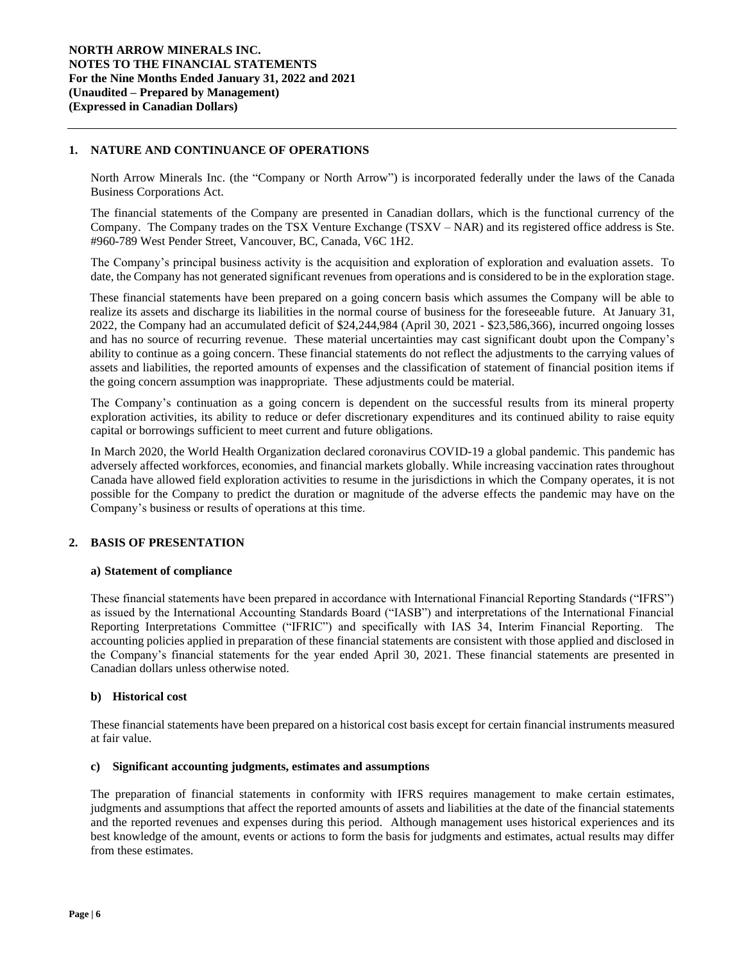## **1. NATURE AND CONTINUANCE OF OPERATIONS**

North Arrow Minerals Inc. (the "Company or North Arrow") is incorporated federally under the laws of the Canada Business Corporations Act.

The financial statements of the Company are presented in Canadian dollars, which is the functional currency of the Company. The Company trades on the TSX Venture Exchange (TSXV – NAR) and its registered office address is Ste. #960-789 West Pender Street, Vancouver, BC, Canada, V6C 1H2.

The Company's principal business activity is the acquisition and exploration of exploration and evaluation assets. To date, the Company has not generated significant revenues from operations and is considered to be in the exploration stage.

These financial statements have been prepared on a going concern basis which assumes the Company will be able to realize its assets and discharge its liabilities in the normal course of business for the foreseeable future. At January 31, 2022, the Company had an accumulated deficit of \$24,244,984 (April 30, 2021 - \$23,586,366), incurred ongoing losses and has no source of recurring revenue. These material uncertainties may cast significant doubt upon the Company's ability to continue as a going concern. These financial statements do not reflect the adjustments to the carrying values of assets and liabilities, the reported amounts of expenses and the classification of statement of financial position items if the going concern assumption was inappropriate. These adjustments could be material.

The Company's continuation as a going concern is dependent on the successful results from its mineral property exploration activities, its ability to reduce or defer discretionary expenditures and its continued ability to raise equity capital or borrowings sufficient to meet current and future obligations.

In March 2020, the World Health Organization declared coronavirus COVID-19 a global pandemic. This pandemic has adversely affected workforces, economies, and financial markets globally. While increasing vaccination rates throughout Canada have allowed field exploration activities to resume in the jurisdictions in which the Company operates, it is not possible for the Company to predict the duration or magnitude of the adverse effects the pandemic may have on the Company's business or results of operations at this time.

#### **2. BASIS OF PRESENTATION**

#### **a) Statement of compliance**

These financial statements have been prepared in accordance with International Financial Reporting Standards ("IFRS") as issued by the International Accounting Standards Board ("IASB") and interpretations of the International Financial Reporting Interpretations Committee ("IFRIC") and specifically with IAS 34, Interim Financial Reporting. The accounting policies applied in preparation of these financial statements are consistent with those applied and disclosed in the Company's financial statements for the year ended April 30, 2021. These financial statements are presented in Canadian dollars unless otherwise noted.

#### **b) Historical cost**

These financial statements have been prepared on a historical cost basis except for certain financial instruments measured at fair value.

#### **c) Significant accounting judgments, estimates and assumptions**

The preparation of financial statements in conformity with IFRS requires management to make certain estimates, judgments and assumptions that affect the reported amounts of assets and liabilities at the date of the financial statements and the reported revenues and expenses during this period. Although management uses historical experiences and its best knowledge of the amount, events or actions to form the basis for judgments and estimates, actual results may differ from these estimates.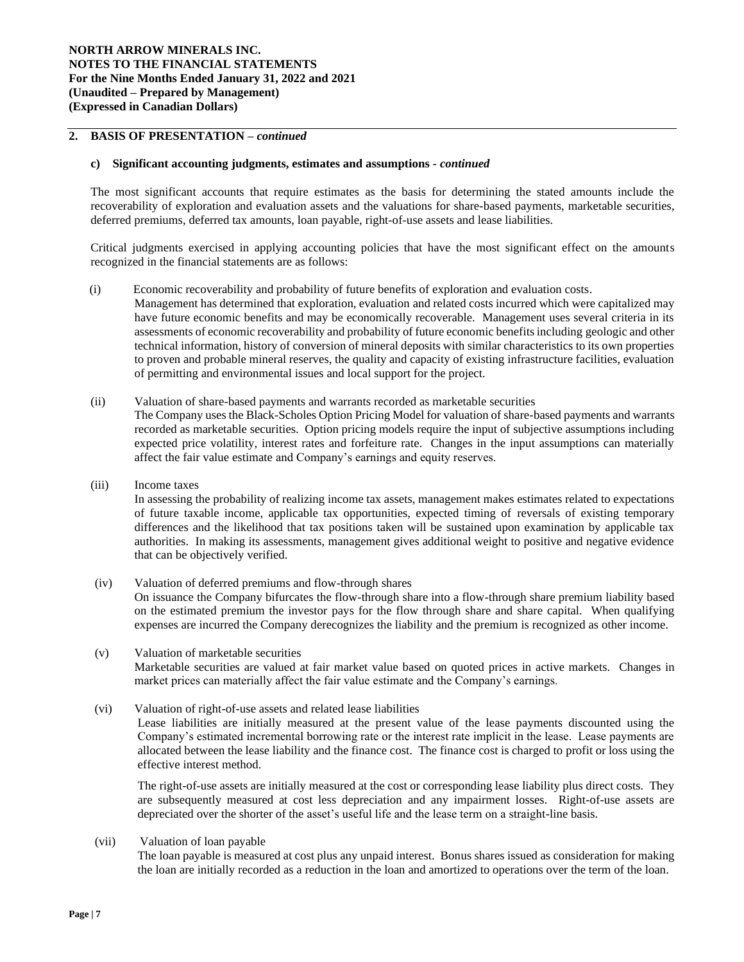#### **2. BASIS OF PRESENTATION –** *continued*

#### **c) Significant accounting judgments, estimates and assumptions** *- continued*

The most significant accounts that require estimates as the basis for determining the stated amounts include the recoverability of exploration and evaluation assets and the valuations for share-based payments, marketable securities, deferred premiums, deferred tax amounts, loan payable, right-of-use assets and lease liabilities.

Critical judgments exercised in applying accounting policies that have the most significant effect on the amounts recognized in the financial statements are as follows:

(i) Economic recoverability and probability of future benefits of exploration and evaluation costs*.* 

Management has determined that exploration, evaluation and related costs incurred which were capitalized may have future economic benefits and may be economically recoverable. Management uses several criteria in its assessments of economic recoverability and probability of future economic benefits including geologic and other technical information, history of conversion of mineral deposits with similar characteristics to its own properties to proven and probable mineral reserves, the quality and capacity of existing infrastructure facilities, evaluation of permitting and environmental issues and local support for the project.

(ii) Valuation of share-based payments and warrants recorded as marketable securities

The Company uses the Black-Scholes Option Pricing Model for valuation of share-based payments and warrants recorded as marketable securities. Option pricing models require the input of subjective assumptions including expected price volatility, interest rates and forfeiture rate. Changes in the input assumptions can materially affect the fair value estimate and Company's earnings and equity reserves.

(iii) Income taxes

In assessing the probability of realizing income tax assets, management makes estimates related to expectations of future taxable income, applicable tax opportunities, expected timing of reversals of existing temporary differences and the likelihood that tax positions taken will be sustained upon examination by applicable tax authorities. In making its assessments, management gives additional weight to positive and negative evidence that can be objectively verified.

(iv) Valuation of deferred premiums and flow-through shares On issuance the Company bifurcates the flow-through share into a flow-through share premium liability based on the estimated premium the investor pays for the flow through share and share capital. When qualifying expenses are incurred the Company derecognizes the liability and the premium is recognized as other income.

- (v) Valuation of marketable securities Marketable securities are valued at fair market value based on quoted prices in active markets. Changes in market prices can materially affect the fair value estimate and the Company's earnings.
- (vi) Valuation of right-of-use assets and related lease liabilities

Lease liabilities are initially measured at the present value of the lease payments discounted using the Company's estimated incremental borrowing rate or the interest rate implicit in the lease. Lease payments are allocated between the lease liability and the finance cost. The finance cost is charged to profit or loss using the effective interest method.

The right-of-use assets are initially measured at the cost or corresponding lease liability plus direct costs. They are subsequently measured at cost less depreciation and any impairment losses. Right-of-use assets are depreciated over the shorter of the asset's useful life and the lease term on a straight-line basis.

(vii) Valuation of loan payable

The loan payable is measured at cost plus any unpaid interest. Bonus shares issued as consideration for making the loan are initially recorded as a reduction in the loan and amortized to operations over the term of the loan.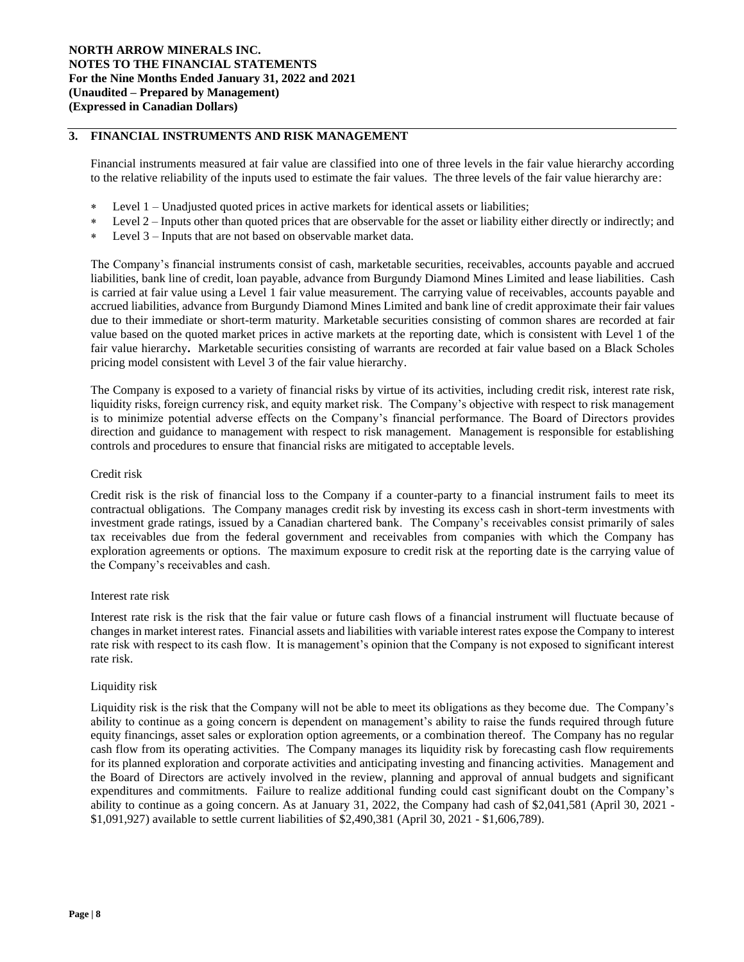## **3. FINANCIAL INSTRUMENTS AND RISK MANAGEMENT**

Financial instruments measured at fair value are classified into one of three levels in the fair value hierarchy according to the relative reliability of the inputs used to estimate the fair values. The three levels of the fair value hierarchy are:

- Level 1 Unadjusted quoted prices in active markets for identical assets or liabilities;
- Level 2 Inputs other than quoted prices that are observable for the asset or liability either directly or indirectly; and
- Level 3 Inputs that are not based on observable market data.

The Company's financial instruments consist of cash, marketable securities, receivables, accounts payable and accrued liabilities, bank line of credit, loan payable, advance from Burgundy Diamond Mines Limited and lease liabilities. Cash is carried at fair value using a Level 1 fair value measurement. The carrying value of receivables, accounts payable and accrued liabilities, advance from Burgundy Diamond Mines Limited and bank line of credit approximate their fair values due to their immediate or short-term maturity. Marketable securities consisting of common shares are recorded at fair value based on the quoted market prices in active markets at the reporting date, which is consistent with Level 1 of the fair value hierarchy**.** Marketable securities consisting of warrants are recorded at fair value based on a Black Scholes pricing model consistent with Level 3 of the fair value hierarchy.

The Company is exposed to a variety of financial risks by virtue of its activities, including credit risk, interest rate risk, liquidity risks, foreign currency risk, and equity market risk. The Company's objective with respect to risk management is to minimize potential adverse effects on the Company's financial performance. The Board of Directors provides direction and guidance to management with respect to risk management. Management is responsible for establishing controls and procedures to ensure that financial risks are mitigated to acceptable levels.

## Credit risk

Credit risk is the risk of financial loss to the Company if a counter-party to a financial instrument fails to meet its contractual obligations. The Company manages credit risk by investing its excess cash in short-term investments with investment grade ratings, issued by a Canadian chartered bank. The Company's receivables consist primarily of sales tax receivables due from the federal government and receivables from companies with which the Company has exploration agreements or options. The maximum exposure to credit risk at the reporting date is the carrying value of the Company's receivables and cash.

#### Interest rate risk

Interest rate risk is the risk that the fair value or future cash flows of a financial instrument will fluctuate because of changes in market interest rates. Financial assets and liabilities with variable interest rates expose the Company to interest rate risk with respect to its cash flow. It is management's opinion that the Company is not exposed to significant interest rate risk.

#### Liquidity risk

Liquidity risk is the risk that the Company will not be able to meet its obligations as they become due. The Company's ability to continue as a going concern is dependent on management's ability to raise the funds required through future equity financings, asset sales or exploration option agreements, or a combination thereof. The Company has no regular cash flow from its operating activities. The Company manages its liquidity risk by forecasting cash flow requirements for its planned exploration and corporate activities and anticipating investing and financing activities. Management and the Board of Directors are actively involved in the review, planning and approval of annual budgets and significant expenditures and commitments. Failure to realize additional funding could cast significant doubt on the Company's ability to continue as a going concern. As at January 31, 2022, the Company had cash of \$2,041,581 (April 30, 2021 - \$1,091,927) available to settle current liabilities of \$2,490,381 (April 30, 2021 - \$1,606,789).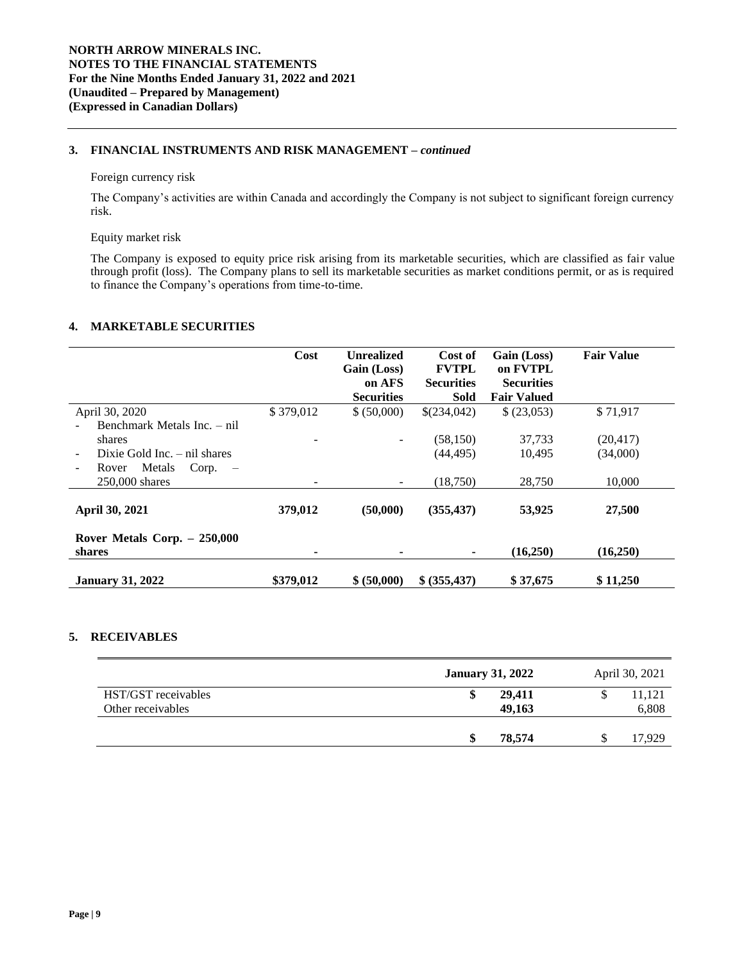# **3. FINANCIAL INSTRUMENTS AND RISK MANAGEMENT –** *continued*

#### Foreign currency risk

The Company's activities are within Canada and accordingly the Company is not subject to significant foreign currency risk.

#### Equity market risk

The Company is exposed to equity price risk arising from its marketable securities, which are classified as fair value through profit (loss). The Company plans to sell its marketable securities as market conditions permit, or as is required to finance the Company's operations from time-to-time.

# **4. MARKETABLE SECURITIES**

|                                                      | Cost      | <b>Unrealized</b><br>Gain (Loss)<br>on AFS<br><b>Securities</b> | Cost of<br><b>FVTPL</b><br><b>Securities</b><br><b>Sold</b> | Gain (Loss)<br>on FVTPL<br><b>Securities</b><br><b>Fair Valued</b> | <b>Fair Value</b> |
|------------------------------------------------------|-----------|-----------------------------------------------------------------|-------------------------------------------------------------|--------------------------------------------------------------------|-------------------|
| April 30, 2020                                       | \$379,012 | \$ (50,000)                                                     | \$(234,042)                                                 | \$ (23,053)                                                        | \$71,917          |
| Benchmark Metals Inc. – nil                          |           |                                                                 |                                                             |                                                                    |                   |
| shares                                               |           |                                                                 | (58, 150)                                                   | 37,733                                                             | (20, 417)         |
| Dixie Gold Inc. $-$ nil shares                       |           |                                                                 | (44, 495)                                                   | 10,495                                                             | (34,000)          |
| Metals<br>Corp.<br>Rover<br>$\overline{\phantom{0}}$ |           |                                                                 |                                                             |                                                                    |                   |
| 250,000 shares                                       |           |                                                                 | (18,750)                                                    | 28,750                                                             | 10,000            |
| April 30, 2021                                       | 379,012   | (50,000)                                                        | (355, 437)                                                  | 53,925                                                             | 27,500            |
| Rover Metals Corp. $-250,000$<br>shares              | ۰         |                                                                 |                                                             | (16,250)                                                           | (16,250)          |
| <b>January 31, 2022</b>                              | \$379,012 | \$ (50,000)                                                     | \$ (355, 437)                                               | \$37,675                                                           | \$11,250          |

# **5. RECEIVABLES**

|                                          | <b>January 31, 2022</b> | April 30, 2021  |
|------------------------------------------|-------------------------|-----------------|
| HST/GST receivables<br>Other receivables | 29,411<br>\$<br>49,163  | 11,121<br>6,808 |
|                                          | 78,574<br>æ             | 17,929          |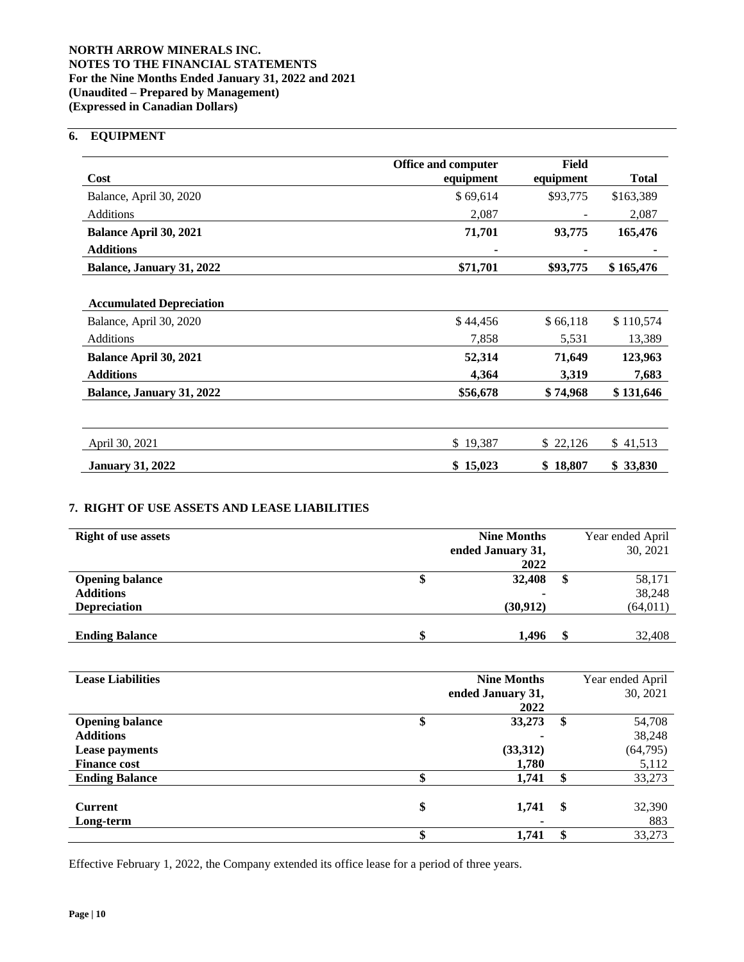# **NORTH ARROW MINERALS INC. NOTES TO THE FINANCIAL STATEMENTS For the Nine Months Ended January 31, 2022 and 2021 (Unaudited – Prepared by Management) (Expressed in Canadian Dollars)**

# **6. EQUIPMENT**

|                                 | <b>Office and computer</b> | Field     |              |
|---------------------------------|----------------------------|-----------|--------------|
| Cost                            | equipment                  | equipment | <b>Total</b> |
| Balance, April 30, 2020         | \$69,614                   | \$93,775  | \$163,389    |
| <b>Additions</b>                | 2,087                      |           | 2,087        |
| Balance April 30, 2021          | 71,701                     | 93,775    | 165,476      |
| <b>Additions</b>                |                            |           |              |
| Balance, January 31, 2022       | \$71,701                   | \$93,775  | \$165,476    |
|                                 |                            |           |              |
| <b>Accumulated Depreciation</b> |                            |           |              |
| Balance, April 30, 2020         | \$44,456                   | \$66,118  | \$110,574    |
| Additions                       | 7,858                      | 5,531     | 13,389       |
| <b>Balance April 30, 2021</b>   | 52,314                     | 71,649    | 123,963      |
| <b>Additions</b>                | 4,364                      | 3,319     | 7,683        |
| Balance, January 31, 2022       | \$56,678                   | \$74,968  | \$131,646    |
|                                 |                            |           |              |
| April 30, 2021                  | \$19,387                   | \$22,126  | \$41,513     |
| <b>January 31, 2022</b>         | \$15,023                   | \$18,807  | \$33,830     |

# **7. RIGHT OF USE ASSETS AND LEASE LIABILITIES**

| <b>Right of use assets</b> | <b>Nine Months</b> |                   |  | Year ended April |
|----------------------------|--------------------|-------------------|--|------------------|
|                            |                    | ended January 31, |  | 30, 2021         |
|                            |                    | 2022              |  |                  |
| <b>Opening balance</b>     |                    | 32,408            |  | 58,171           |
| <b>Additions</b>           |                    | $\blacksquare$    |  | 38,248           |
| <b>Depreciation</b>        |                    | (30, 912)         |  | (64, 011)        |
|                            |                    |                   |  |                  |
| <b>Ending Balance</b>      |                    | 1,496             |  | 32,408           |

| <b>Lease Liabilities</b> | <b>Nine Months</b> | Year ended April |
|--------------------------|--------------------|------------------|
|                          | ended January 31,  | 30, 2021         |
|                          | 2022               |                  |
| <b>Opening balance</b>   | \$<br>33,273       | \$<br>54,708     |
| <b>Additions</b>         |                    | 38,248           |
| <b>Lease payments</b>    | (33,312)           | (64, 795)        |
| <b>Finance cost</b>      | 1,780              | 5,112            |
| <b>Ending Balance</b>    | 1,741              | 33,273           |
|                          |                    |                  |
| <b>Current</b>           | \$<br>1,741        | \$<br>32,390     |
| Long-term                | $\blacksquare$     | 883              |
|                          | 1,741              | 33,273           |

Effective February 1, 2022, the Company extended its office lease for a period of three years.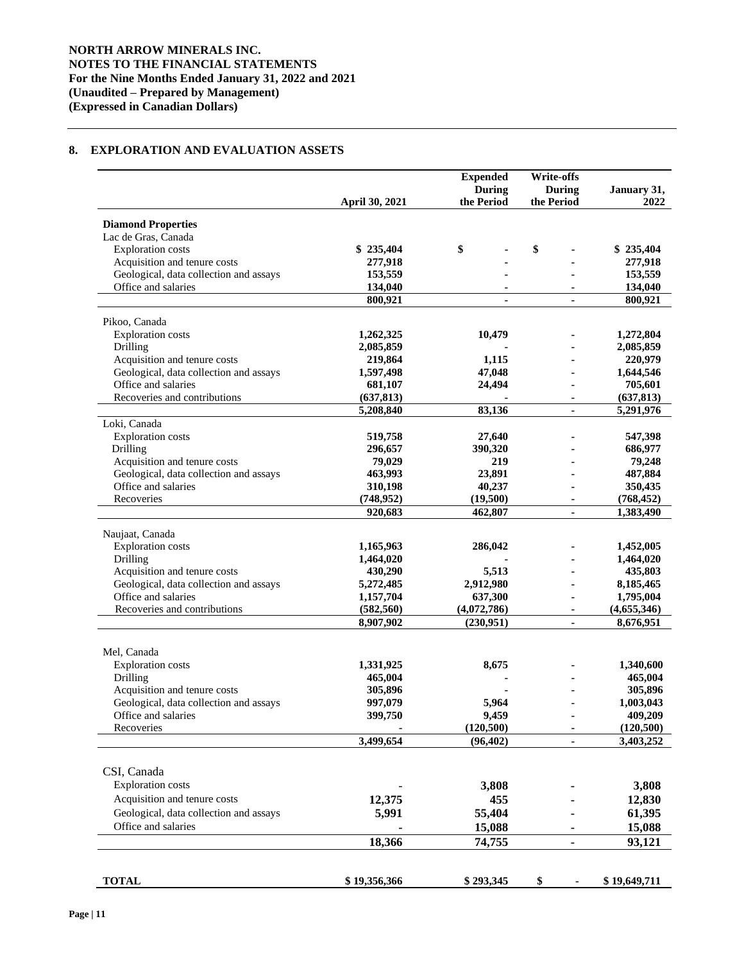# **8. EXPLORATION AND EVALUATION ASSETS**

|                                                  |                | <b>Expended</b>             | <b>Write-offs</b>           |                     |
|--------------------------------------------------|----------------|-----------------------------|-----------------------------|---------------------|
|                                                  | April 30, 2021 | <b>During</b><br>the Period | <b>During</b><br>the Period | January 31,<br>2022 |
|                                                  |                |                             |                             |                     |
| <b>Diamond Properties</b><br>Lac de Gras, Canada |                |                             |                             |                     |
| <b>Exploration</b> costs                         | \$235,404      | \$                          | \$                          | \$235,404           |
| Acquisition and tenure costs                     | 277,918        |                             |                             | 277,918             |
| Geological, data collection and assays           | 153,559        |                             |                             | 153,559             |
| Office and salaries                              | 134,040        |                             |                             | 134,040             |
|                                                  | 800,921        | ä,                          | $\mathbf{r}$                | 800,921             |
| Pikoo, Canada                                    |                |                             |                             |                     |
| <b>Exploration</b> costs                         | 1,262,325      | 10,479                      |                             | 1,272,804           |
| Drilling                                         | 2,085,859      |                             |                             | 2,085,859           |
| Acquisition and tenure costs                     | 219,864        | 1,115                       |                             | 220,979             |
| Geological, data collection and assays           | 1,597,498      | 47,048                      |                             | 1,644,546           |
| Office and salaries                              | 681,107        | 24,494                      |                             | 705,601             |
| Recoveries and contributions                     | (637, 813)     |                             |                             | (637, 813)          |
|                                                  | 5,208,840      | 83,136                      | $\blacksquare$              | 5,291,976           |
| Loki, Canada                                     |                |                             |                             |                     |
| <b>Exploration</b> costs                         | 519,758        | 27,640                      |                             | 547,398             |
| Drilling                                         | 296,657        | 390,320                     |                             | 686,977             |
| Acquisition and tenure costs                     | 79,029         | 219                         |                             | 79,248              |
| Geological, data collection and assays           | 463,993        | 23,891                      |                             | 487,884             |
| Office and salaries                              | 310,198        | 40,237                      |                             | 350,435             |
| Recoveries                                       | (748, 952)     | (19,500)                    |                             | (768, 452)          |
|                                                  | 920,683        | 462,807                     | $\blacksquare$              | 1,383,490           |
| Naujaat, Canada                                  |                |                             |                             |                     |
| <b>Exploration</b> costs                         | 1,165,963      | 286,042                     |                             | 1,452,005           |
| Drilling                                         | 1,464,020      |                             |                             | 1,464,020           |
| Acquisition and tenure costs                     | 430,290        | 5,513                       |                             | 435,803             |
| Geological, data collection and assays           | 5,272,485      | 2,912,980                   |                             | 8,185,465           |
| Office and salaries                              | 1,157,704      | 637,300                     |                             | 1,795,004           |
| Recoveries and contributions                     | (582, 560)     | (4,072,786)                 | $\blacksquare$              | (4,655,346)         |
|                                                  | 8,907,902      | (230,951)                   |                             | 8,676,951           |
|                                                  |                |                             |                             |                     |
| Mel, Canada                                      |                |                             |                             |                     |
| <b>Exploration</b> costs                         | 1,331,925      | 8,675                       |                             | 1,340,600           |
| Drilling                                         | 465,004        |                             |                             | 465,004             |
| Acquisition and tenure costs                     | 305,896        |                             |                             | 305,896             |
| Geological, data collection and assays           | 997,079        | 5,964                       |                             | 1,003,043           |
| Office and salaries                              | 399,750        | 9,459                       |                             | 409,209             |
| Recoveries                                       |                | (120, 500)                  |                             | (120, 500)          |
|                                                  | 3,499,654      | (96, 402)                   |                             | 3,403,252           |
|                                                  |                |                             |                             |                     |
| CSI, Canada                                      |                |                             |                             |                     |
| <b>Exploration</b> costs                         |                | 3,808                       |                             | 3,808               |
| Acquisition and tenure costs                     | 12,375         | 455                         |                             | 12,830              |
| Geological, data collection and assays           | 5,991          | 55,404                      |                             | 61,395              |
| Office and salaries                              |                | 15,088                      |                             | 15,088              |
|                                                  | 18,366         | 74,755                      | ۰                           | 93,121              |
|                                                  |                |                             |                             |                     |
| <b>TOTAL</b>                                     | \$19,356,366   | \$293,345                   | \$                          | \$19,649,711        |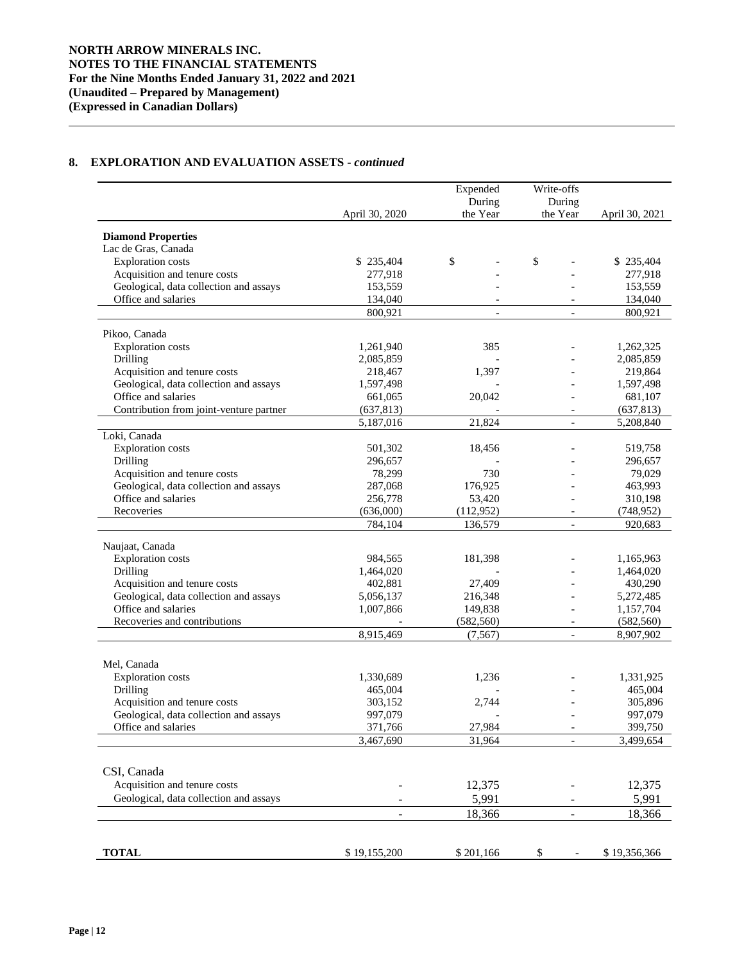# **8. EXPLORATION AND EVALUATION ASSETS -** *continued*

|                                                                        |                          | Expended           | Write-offs               |                |
|------------------------------------------------------------------------|--------------------------|--------------------|--------------------------|----------------|
|                                                                        | April 30, 2020           | During<br>the Year | During<br>the Year       | April 30, 2021 |
| <b>Diamond Properties</b>                                              |                          |                    |                          |                |
| Lac de Gras, Canada                                                    |                          |                    |                          |                |
| <b>Exploration</b> costs                                               | \$235,404                | \$                 | \$                       | \$235,404      |
| Acquisition and tenure costs                                           | 277,918                  |                    |                          | 277,918        |
| Geological, data collection and assays                                 | 153,559                  |                    |                          | 153,559        |
| Office and salaries                                                    | 134,040                  |                    |                          | 134,040        |
|                                                                        | 800,921                  | $\blacksquare$     | $\overline{\phantom{a}}$ | 800,921        |
| Pikoo, Canada                                                          |                          |                    |                          |                |
| <b>Exploration</b> costs                                               | 1,261,940                | 385                |                          | 1,262,325      |
| Drilling                                                               | 2,085,859                |                    |                          | 2,085,859      |
| Acquisition and tenure costs                                           | 218,467                  | 1,397              |                          | 219,864        |
| Geological, data collection and assays                                 | 1,597,498                |                    |                          | 1,597,498      |
| Office and salaries                                                    | 661,065                  | 20,042             |                          | 681,107        |
| Contribution from joint-venture partner                                | (637, 813)               |                    |                          | (637, 813)     |
|                                                                        | 5,187,016                | 21,824             | $\blacksquare$           | 5,208,840      |
| Loki, Canada                                                           |                          |                    |                          |                |
| <b>Exploration</b> costs                                               | 501,302                  |                    |                          | 519,758        |
| Drilling                                                               |                          | 18,456             |                          |                |
|                                                                        | 296,657                  | 730                |                          | 296,657        |
| Acquisition and tenure costs<br>Geological, data collection and assays | 78,299                   |                    |                          | 79,029         |
| Office and salaries                                                    | 287,068                  | 176,925            |                          | 463,993        |
|                                                                        | 256,778                  | 53,420             |                          | 310,198        |
| Recoveries                                                             | (636,000)                | (112, 952)         |                          | (748, 952)     |
|                                                                        | 784,104                  | 136,579            | $\blacksquare$           | 920,683        |
| Naujaat, Canada                                                        |                          |                    |                          |                |
| <b>Exploration</b> costs                                               | 984,565                  | 181,398            |                          | 1,165,963      |
| Drilling                                                               | 1,464,020                |                    |                          | 1,464,020      |
| Acquisition and tenure costs                                           | 402,881                  | 27,409             |                          | 430,290        |
| Geological, data collection and assays                                 | 5,056,137                | 216,348            |                          | 5,272,485      |
| Office and salaries                                                    | 1,007,866                | 149,838            |                          | 1,157,704      |
| Recoveries and contributions                                           |                          | (582, 560)         | $\overline{\phantom{a}}$ | (582, 560)     |
|                                                                        | 8,915,469                | (7, 567)           | $\overline{a}$           | 8,907,902      |
|                                                                        |                          |                    |                          |                |
| Mel, Canada                                                            |                          |                    |                          |                |
| <b>Exploration</b> costs                                               | 1,330,689                | 1,236              |                          | 1,331,925      |
| Drilling                                                               | 465,004                  |                    |                          | 465,004        |
| Acquisition and tenure costs                                           | 303,152                  | 2,744              |                          | 305,896        |
| Geological, data collection and assays                                 | 997,079                  |                    |                          | 997,079        |
| Office and salaries                                                    | 371,766                  | 27,984             | $\overline{\phantom{a}}$ | 399,750        |
|                                                                        | 3,467,690                | 31,964             |                          | 3,499,654      |
|                                                                        |                          |                    |                          |                |
| CSI, Canada                                                            |                          |                    |                          |                |
| Acquisition and tenure costs                                           |                          | 12,375             |                          | 12,375         |
| Geological, data collection and assays                                 |                          | 5,991              |                          | 5,991          |
|                                                                        | $\overline{\phantom{0}}$ | 18,366             | -                        | 18,366         |
|                                                                        |                          |                    |                          |                |
| <b>TOTAL</b>                                                           | \$19,155,200             | \$201,166          | \$                       | \$19,356,366   |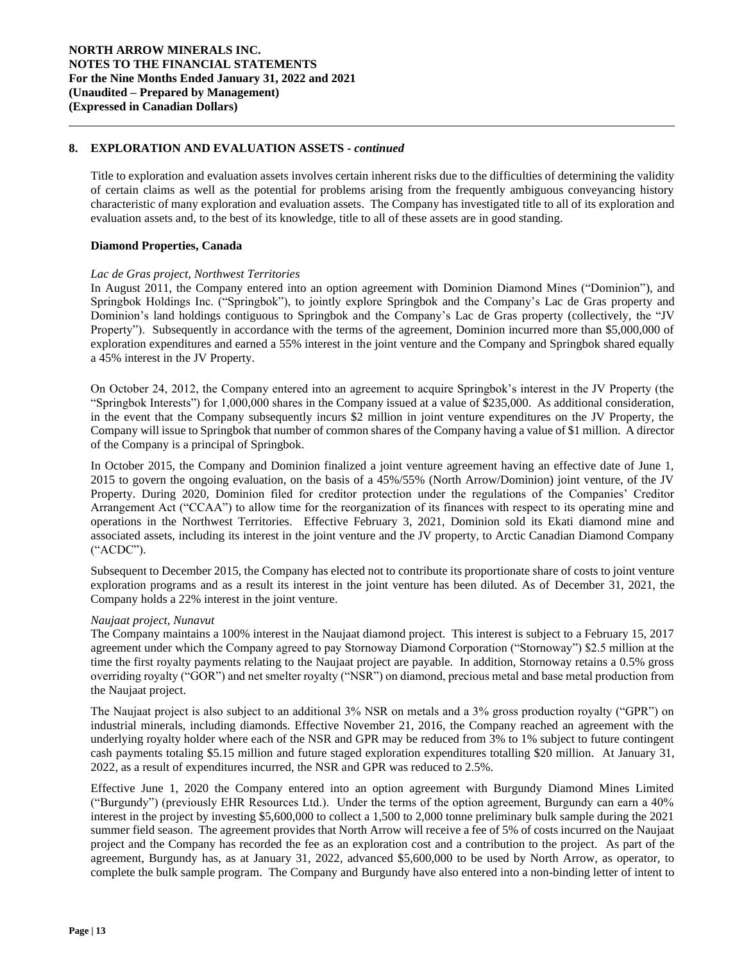## **8. EXPLORATION AND EVALUATION ASSETS -** *continued*

Title to exploration and evaluation assets involves certain inherent risks due to the difficulties of determining the validity of certain claims as well as the potential for problems arising from the frequently ambiguous conveyancing history characteristic of many exploration and evaluation assets. The Company has investigated title to all of its exploration and evaluation assets and, to the best of its knowledge, title to all of these assets are in good standing.

### **Diamond Properties, Canada**

#### *Lac de Gras project, Northwest Territories*

In August 2011, the Company entered into an option agreement with Dominion Diamond Mines ("Dominion"), and Springbok Holdings Inc. ("Springbok"), to jointly explore Springbok and the Company's Lac de Gras property and Dominion's land holdings contiguous to Springbok and the Company's Lac de Gras property (collectively, the "JV Property"). Subsequently in accordance with the terms of the agreement, Dominion incurred more than \$5,000,000 of exploration expenditures and earned a 55% interest in the joint venture and the Company and Springbok shared equally a 45% interest in the JV Property.

On October 24, 2012, the Company entered into an agreement to acquire Springbok's interest in the JV Property (the "Springbok Interests") for 1,000,000 shares in the Company issued at a value of \$235,000. As additional consideration, in the event that the Company subsequently incurs \$2 million in joint venture expenditures on the JV Property, the Company will issue to Springbok that number of common shares of the Company having a value of \$1 million. A director of the Company is a principal of Springbok.

In October 2015, the Company and Dominion finalized a joint venture agreement having an effective date of June 1, 2015 to govern the ongoing evaluation, on the basis of a 45%/55% (North Arrow/Dominion) joint venture, of the JV Property. During 2020, Dominion filed for creditor protection under the regulations of the Companies' Creditor Arrangement Act ("CCAA") to allow time for the reorganization of its finances with respect to its operating mine and operations in the Northwest Territories. Effective February 3, 2021, Dominion sold its Ekati diamond mine and associated assets, including its interest in the joint venture and the JV property, to Arctic Canadian Diamond Company ("ACDC").

Subsequent to December 2015, the Company has elected not to contribute its proportionate share of costs to joint venture exploration programs and as a result its interest in the joint venture has been diluted. As of December 31, 2021, the Company holds a 22% interest in the joint venture.

#### *Naujaat project, Nunavut*

The Company maintains a 100% interest in the Naujaat diamond project. This interest is subject to a February 15, 2017 agreement under which the Company agreed to pay Stornoway Diamond Corporation ("Stornoway") \$2.5 million at the time the first royalty payments relating to the Naujaat project are payable. In addition, Stornoway retains a 0.5% gross overriding royalty ("GOR") and net smelter royalty ("NSR") on diamond, precious metal and base metal production from the Naujaat project.

The Naujaat project is also subject to an additional 3% NSR on metals and a 3% gross production royalty ("GPR") on industrial minerals, including diamonds. Effective November 21, 2016, the Company reached an agreement with the underlying royalty holder where each of the NSR and GPR may be reduced from 3% to 1% subject to future contingent cash payments totaling \$5.15 million and future staged exploration expenditures totalling \$20 million. At January 31, 2022, as a result of expenditures incurred, the NSR and GPR was reduced to 2.5%.

Effective June 1, 2020 the Company entered into an option agreement with Burgundy Diamond Mines Limited ("Burgundy") (previously EHR Resources Ltd.). Under the terms of the option agreement, Burgundy can earn a 40% interest in the project by investing \$5,600,000 to collect a 1,500 to 2,000 tonne preliminary bulk sample during the 2021 summer field season. The agreement provides that North Arrow will receive a fee of 5% of costs incurred on the Naujaat project and the Company has recorded the fee as an exploration cost and a contribution to the project. As part of the agreement, Burgundy has, as at January 31, 2022, advanced \$5,600,000 to be used by North Arrow, as operator, to complete the bulk sample program. The Company and Burgundy have also entered into a non-binding letter of intent to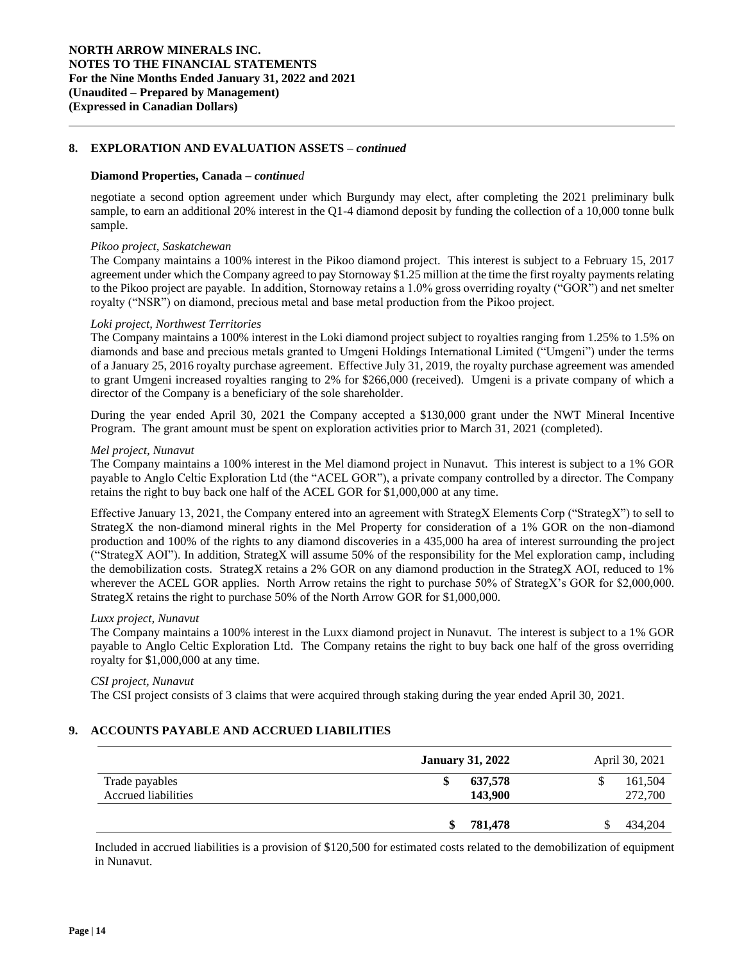## **8. EXPLORATION AND EVALUATION ASSETS –** *continued*

#### **Diamond Properties, Canada –** *continued*

negotiate a second option agreement under which Burgundy may elect, after completing the 2021 preliminary bulk sample, to earn an additional 20% interest in the Q1-4 diamond deposit by funding the collection of a 10,000 tonne bulk sample.

#### *Pikoo project, Saskatchewan*

The Company maintains a 100% interest in the Pikoo diamond project. This interest is subject to a February 15, 2017 agreement under which the Company agreed to pay Stornoway \$1.25 million at the time the first royalty payments relating to the Pikoo project are payable. In addition, Stornoway retains a 1.0% gross overriding royalty ("GOR") and net smelter royalty ("NSR") on diamond, precious metal and base metal production from the Pikoo project.

#### *Loki project, Northwest Territories*

The Company maintains a 100% interest in the Loki diamond project subject to royalties ranging from 1.25% to 1.5% on diamonds and base and precious metals granted to Umgeni Holdings International Limited ("Umgeni") under the terms of a January 25, 2016 royalty purchase agreement. Effective July 31, 2019, the royalty purchase agreement was amended to grant Umgeni increased royalties ranging to 2% for \$266,000 (received). Umgeni is a private company of which a director of the Company is a beneficiary of the sole shareholder.

During the year ended April 30, 2021 the Company accepted a \$130,000 grant under the NWT Mineral Incentive Program. The grant amount must be spent on exploration activities prior to March 31, 2021 (completed).

#### *Mel project, Nunavut*

The Company maintains a 100% interest in the Mel diamond project in Nunavut. This interest is subject to a 1% GOR payable to Anglo Celtic Exploration Ltd (the "ACEL GOR"), a private company controlled by a director. The Company retains the right to buy back one half of the ACEL GOR for \$1,000,000 at any time.

Effective January 13, 2021, the Company entered into an agreement with StrategX Elements Corp ("StrategX") to sell to StrategX the non-diamond mineral rights in the Mel Property for consideration of a 1% GOR on the non-diamond production and 100% of the rights to any diamond discoveries in a 435,000 ha area of interest surrounding the project ("StrategX AOI"). In addition, StrategX will assume 50% of the responsibility for the Mel exploration camp, including the demobilization costs. StrategX retains a 2% GOR on any diamond production in the StrategX AOI, reduced to 1% wherever the ACEL GOR applies. North Arrow retains the right to purchase 50% of StrategX's GOR for \$2,000,000. StrategX retains the right to purchase 50% of the North Arrow GOR for \$1,000,000.

#### *Luxx project, Nunavut*

The Company maintains a 100% interest in the Luxx diamond project in Nunavut. The interest is subject to a 1% GOR payable to Anglo Celtic Exploration Ltd. The Company retains the right to buy back one half of the gross overriding royalty for \$1,000,000 at any time.

#### *CSI project, Nunavut*

The CSI project consists of 3 claims that were acquired through staking during the year ended April 30, 2021.

#### **9. ACCOUNTS PAYABLE AND ACCRUED LIABILITIES**

|                                       | <b>January 31, 2022</b> | April 30, 2021     |
|---------------------------------------|-------------------------|--------------------|
| Trade payables<br>Accrued liabilities | 637,578<br>143,900      | 161,504<br>272,700 |
|                                       | 781,478<br>\$           | 434,204<br>\$.     |

Included in accrued liabilities is a provision of \$120,500 for estimated costs related to the demobilization of equipment in Nunavut.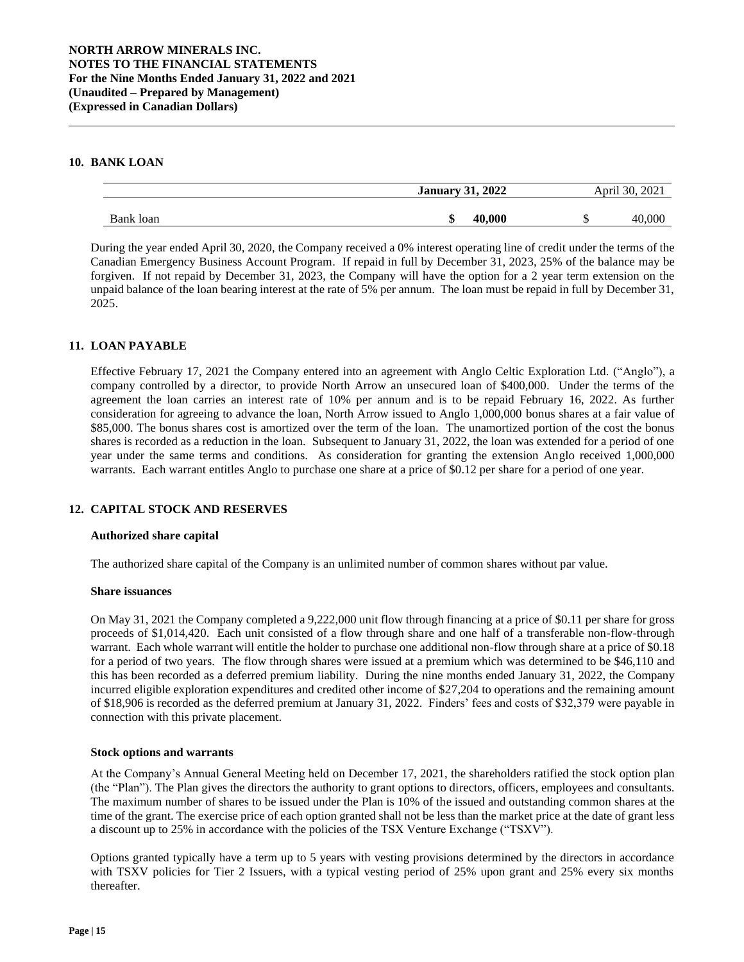## **10. BANK LOAN**

|           | <b>January</b><br>2022 |      | April 30<br>2021 |                |
|-----------|------------------------|------|------------------|----------------|
| Bank loan | ΔD                     | .000 |                  | 0 <sub>U</sub> |

During the year ended April 30, 2020, the Company received a 0% interest operating line of credit under the terms of the Canadian Emergency Business Account Program. If repaid in full by December 31, 2023, 25% of the balance may be forgiven. If not repaid by December 31, 2023, the Company will have the option for a 2 year term extension on the unpaid balance of the loan bearing interest at the rate of 5% per annum. The loan must be repaid in full by December 31, 2025.

## **11. LOAN PAYABLE**

Effective February 17, 2021 the Company entered into an agreement with Anglo Celtic Exploration Ltd. ("Anglo"), a company controlled by a director, to provide North Arrow an unsecured loan of \$400,000. Under the terms of the agreement the loan carries an interest rate of 10% per annum and is to be repaid February 16, 2022. As further consideration for agreeing to advance the loan, North Arrow issued to Anglo 1,000,000 bonus shares at a fair value of \$85,000. The bonus shares cost is amortized over the term of the loan. The unamortized portion of the cost the bonus shares is recorded as a reduction in the loan. Subsequent to January 31, 2022, the loan was extended for a period of one year under the same terms and conditions. As consideration for granting the extension Anglo received 1,000,000 warrants. Each warrant entitles Anglo to purchase one share at a price of \$0.12 per share for a period of one year.

#### **12. CAPITAL STOCK AND RESERVES**

#### **Authorized share capital**

The authorized share capital of the Company is an unlimited number of common shares without par value.

#### **Share issuances**

On May 31, 2021 the Company completed a 9,222,000 unit flow through financing at a price of \$0.11 per share for gross proceeds of \$1,014,420. Each unit consisted of a flow through share and one half of a transferable non-flow-through warrant. Each whole warrant will entitle the holder to purchase one additional non-flow through share at a price of \$0.18 for a period of two years. The flow through shares were issued at a premium which was determined to be \$46,110 and this has been recorded as a deferred premium liability. During the nine months ended January 31, 2022, the Company incurred eligible exploration expenditures and credited other income of \$27,204 to operations and the remaining amount of \$18,906 is recorded as the deferred premium at January 31, 2022. Finders' fees and costs of \$32,379 were payable in connection with this private placement.

#### **Stock options and warrants**

At the Company's Annual General Meeting held on December 17, 2021, the shareholders ratified the stock option plan (the "Plan"). The Plan gives the directors the authority to grant options to directors, officers, employees and consultants. The maximum number of shares to be issued under the Plan is 10% of the issued and outstanding common shares at the time of the grant. The exercise price of each option granted shall not be less than the market price at the date of grant less a discount up to 25% in accordance with the policies of the TSX Venture Exchange ("TSXV").

Options granted typically have a term up to 5 years with vesting provisions determined by the directors in accordance with TSXV policies for Tier 2 Issuers, with a typical vesting period of 25% upon grant and 25% every six months thereafter.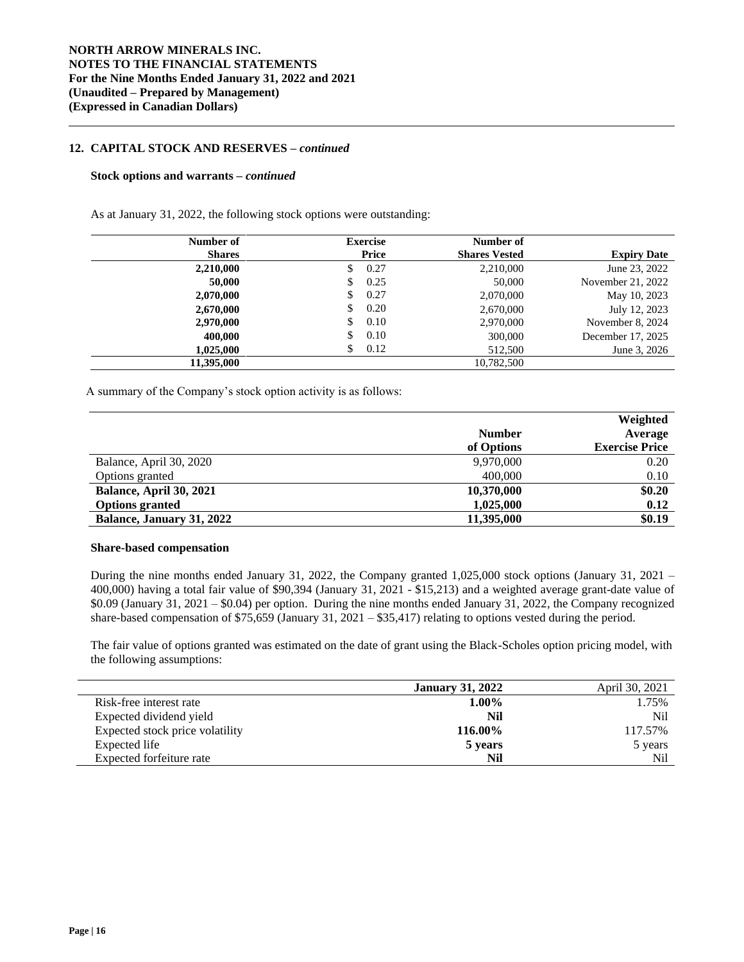## **12. CAPITAL STOCK AND RESERVES –** *continued*

#### **Stock options and warrants –** *continued*

As at January 31, 2022, the following stock options were outstanding:

| Number of     | <b>Exercise</b> | Number of            |                    |
|---------------|-----------------|----------------------|--------------------|
| <b>Shares</b> | Price           | <b>Shares Vested</b> | <b>Expiry Date</b> |
| 2,210,000     | 0.27<br>\$      | 2,210,000            | June 23, 2022      |
| 50,000        | 0.25<br>S       | 50,000               | November 21, 2022  |
| 2,070,000     | 0.27<br>\$      | 2,070,000            | May 10, 2023       |
| 2,670,000     | 0.20<br>\$      | 2,670,000            | July 12, 2023      |
| 2,970,000     | 0.10<br>S       | 2,970,000            | November 8, 2024   |
| 400,000       | 0.10<br>\$      | 300,000              | December 17, 2025  |
| 1,025,000     | 0.12<br>S       | 512,500              | June 3, 2026       |
| 11,395,000    |                 | 10,782,500           |                    |

A summary of the Company's stock option activity is as follows:

|                                  |               | Weighted              |
|----------------------------------|---------------|-----------------------|
|                                  | <b>Number</b> | Average               |
|                                  | of Options    | <b>Exercise Price</b> |
| Balance, April 30, 2020          | 9,970,000     | 0.20                  |
| Options granted                  | 400,000       | 0.10                  |
| Balance, April 30, 2021          | 10,370,000    | \$0.20                |
| <b>Options granted</b>           | 1,025,000     | 0.12                  |
| <b>Balance, January 31, 2022</b> | 11,395,000    | \$0.19                |

## **Share-based compensation**

During the nine months ended January 31, 2022, the Company granted 1,025,000 stock options (January 31, 2021 – 400,000) having a total fair value of \$90,394 (January 31, 2021 - \$15,213) and a weighted average grant-date value of \$0.09 (January 31, 2021 – \$0.04) per option. During the nine months ended January 31, 2022, the Company recognized share-based compensation of \$75,659 (January 31, 2021 – \$35,417) relating to options vested during the period.

The fair value of options granted was estimated on the date of grant using the Black-Scholes option pricing model, with the following assumptions:

|                                 | <b>January 31, 2022</b> | April 30, 2021 |
|---------------------------------|-------------------------|----------------|
| Risk-free interest rate         | $1.00\%$                | 1.75%          |
| Expected dividend yield         | Nil                     | Nil            |
| Expected stock price volatility | 116.00%                 | 117.57%        |
| Expected life                   | 5 years                 | 5 years        |
| Expected forfeiture rate        | Nil                     | Nil            |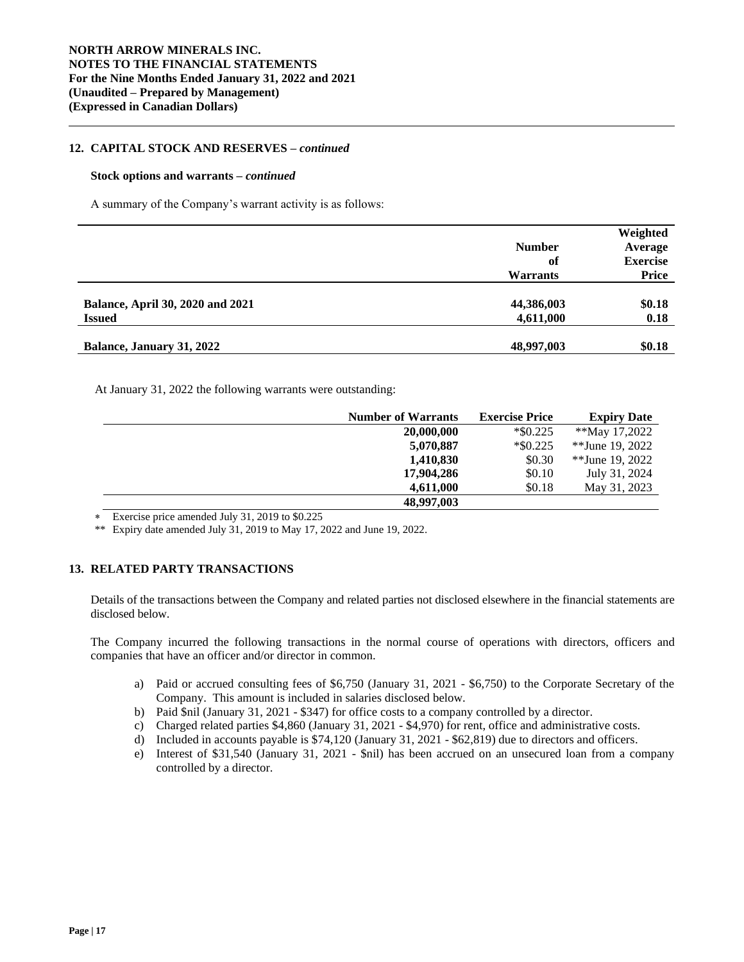## **12. CAPITAL STOCK AND RESERVES –** *continued*

#### **Stock options and warrants –** *continued*

A summary of the Company's warrant activity is as follows:

|                                         |                 | Weighted        |
|-----------------------------------------|-----------------|-----------------|
|                                         | <b>Number</b>   | Average         |
|                                         | of              | <b>Exercise</b> |
|                                         | <b>Warrants</b> | Price           |
|                                         |                 |                 |
| <b>Balance, April 30, 2020 and 2021</b> | 44,386,003      | \$0.18          |
| <b>Issued</b>                           | 4,611,000       | 0.18            |
|                                         |                 |                 |
| Balance, January 31, 2022               | 48,997,003      | \$0.18          |

At January 31, 2022 the following warrants were outstanding:

| <b>Number of Warrants</b> | <b>Exercise Price</b> | <b>Expiry Date</b> |
|---------------------------|-----------------------|--------------------|
| 20,000,000                | $*$ \$0.225           | **May 17,2022      |
| 5,070,887                 | $*$ \$0.225           | **June 19, 2022    |
| 1,410,830                 | \$0.30                | **June 19, 2022    |
| 17,904,286                | \$0.10                | July 31, 2024      |
| 4.611.000                 | \$0.18                | May 31, 2023       |
| 48,997,003                |                       |                    |

Exercise price amended July 31, 2019 to \$0.225

\*\* Expiry date amended July 31, 2019 to May 17, 2022 and June 19, 2022.

## **13. RELATED PARTY TRANSACTIONS**

Details of the transactions between the Company and related parties not disclosed elsewhere in the financial statements are disclosed below.

The Company incurred the following transactions in the normal course of operations with directors, officers and companies that have an officer and/or director in common.

- a) Paid or accrued consulting fees of \$6,750 (January 31, 2021 \$6,750) to the Corporate Secretary of the Company. This amount is included in salaries disclosed below.
- b) Paid \$nil (January 31, 2021 \$347) for office costs to a company controlled by a director.
- c) Charged related parties \$4,860 (January 31, 2021 \$4,970) for rent, office and administrative costs.
- d) Included in accounts payable is \$74,120 (January 31, 2021 \$62,819) due to directors and officers.
- e) Interest of \$31,540 (January 31, 2021 \$nil) has been accrued on an unsecured loan from a company controlled by a director.